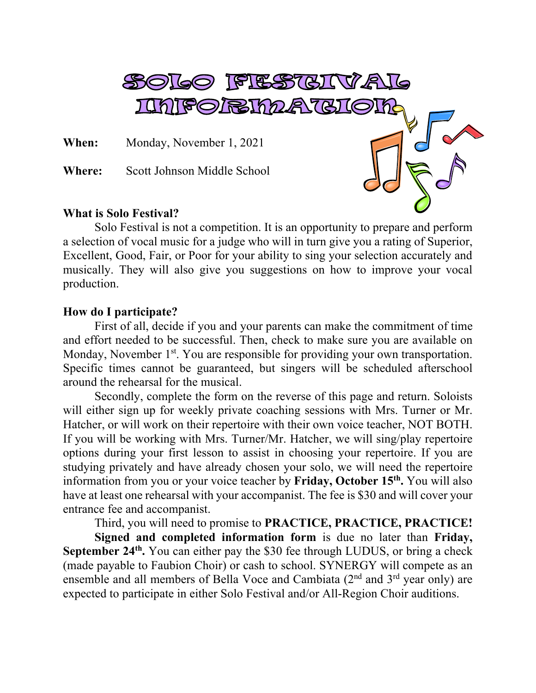

Solo Festival is not a competition. It is an opportunity to prepare and perform a selection of vocal music for a judge who will in turn give you a rating of Superior, Excellent, Good, Fair, or Poor for your ability to sing your selection accurately and musically. They will also give you suggestions on how to improve your vocal production.

## **How do I participate?**

First of all, decide if you and your parents can make the commitment of time and effort needed to be successful. Then, check to make sure you are available on Monday, November 1<sup>st</sup>. You are responsible for providing your own transportation. Specific times cannot be guaranteed, but singers will be scheduled afterschool around the rehearsal for the musical.

Secondly, complete the form on the reverse of this page and return. Soloists will either sign up for weekly private coaching sessions with Mrs. Turner or Mr. Hatcher, or will work on their repertoire with their own voice teacher, NOT BOTH. If you will be working with Mrs. Turner/Mr. Hatcher, we will sing/play repertoire options during your first lesson to assist in choosing your repertoire. If you are studying privately and have already chosen your solo, we will need the repertoire information from you or your voice teacher by **Friday, October 15th.** You will also have at least one rehearsal with your accompanist. The fee is \$30 and will cover your entrance fee and accompanist.

Third, you will need to promise to **PRACTICE, PRACTICE, PRACTICE!**

**Signed and completed information form** is due no later than **Friday, September 24<sup>th</sup>**. You can either pay the \$30 fee through LUDUS, or bring a check (made payable to Faubion Choir) or cash to school. SYNERGY will compete as an ensemble and all members of Bella Voce and Cambiata (2<sup>nd</sup> and 3<sup>rd</sup> year only) are expected to participate in either Solo Festival and/or All-Region Choir auditions.